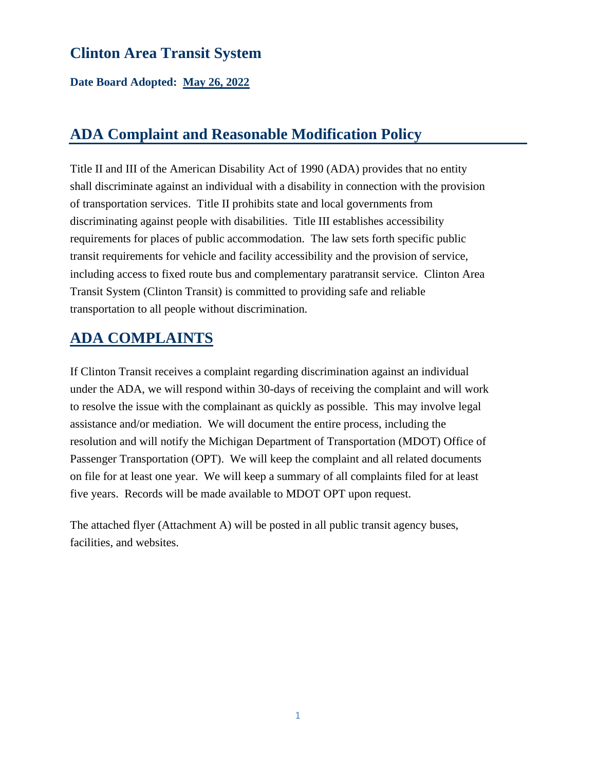**Date Board Adopted: May 26, 2022**

## **ADA Complaint and Reasonable Modification Policy**

Title II and III of the American Disability Act of 1990 (ADA) provides that no entity shall discriminate against an individual with a disability in connection with the provision of transportation services. Title II prohibits state and local governments from discriminating against people with disabilities. Title III establishes accessibility requirements for places of public accommodation. The law sets forth specific public transit requirements for vehicle and facility accessibility and the provision of service, including access to fixed route bus and complementary paratransit service. Clinton Area Transit System (Clinton Transit) is committed to providing safe and reliable transportation to all people without discrimination.

## **ADA COMPLAINTS**

If Clinton Transit receives a complaint regarding discrimination against an individual under the ADA, we will respond within 30-days of receiving the complaint and will work to resolve the issue with the complainant as quickly as possible. This may involve legal assistance and/or mediation. We will document the entire process, including the resolution and will notify the Michigan Department of Transportation (MDOT) Office of Passenger Transportation (OPT). We will keep the complaint and all related documents on file for at least one year. We will keep a summary of all complaints filed for at least five years. Records will be made available to MDOT OPT upon request.

The attached flyer (Attachment A) will be posted in all public transit agency buses, facilities, and websites.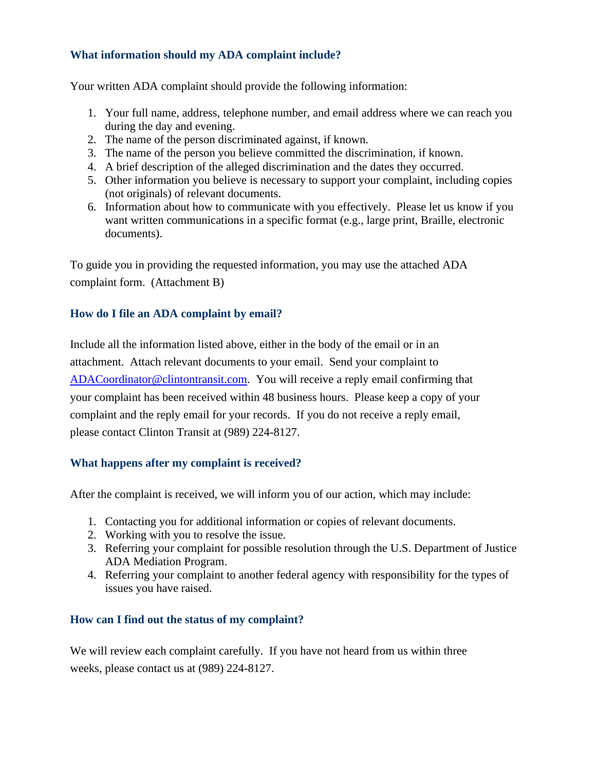#### **What information should my ADA complaint include?**

Your written ADA complaint should provide the following information:

- 1. Your full name, address, telephone number, and email address where we can reach you during the day and evening.
- 2. The name of the person discriminated against, if known.
- 3. The name of the person you believe committed the discrimination, if known.
- 4. A brief description of the alleged discrimination and the dates they occurred.
- 5. Other information you believe is necessary to support your complaint, including copies (not originals) of relevant documents.
- 6. Information about how to communicate with you effectively. Please let us know if you want written communications in a specific format (e.g., large print, Braille, electronic documents).

To guide you in providing the requested information, you may use the attached ADA complaint form. (Attachment B)

#### **How do I file an ADA complaint by email?**

Include all the information listed above, either in the body of the email or in an attachment. Attach relevant documents to your email. Send your complaint to [ADACoordinator@clintontransit.com.](mailto:ADACoordinator@clintontransit.com) You will receive a reply email confirming that your complaint has been received within 48 business hours. Please keep a copy of your complaint and the reply email for your records. If you do not receive a reply email, please contact Clinton Transit at (989) 224-8127.

#### **What happens after my complaint is received?**

After the complaint is received, we will inform you of our action, which may include:

- 1. Contacting you for additional information or copies of relevant documents.
- 2. Working with you to resolve the issue.
- 3. Referring your complaint for possible resolution through the U.S. Department of Justice ADA Mediation Program.
- 4. Referring your complaint to another federal agency with responsibility for the types of issues you have raised.

#### **How can I find out the status of my complaint?**

We will review each complaint carefully. If you have not heard from us within three weeks, please contact us at (989) 224-8127.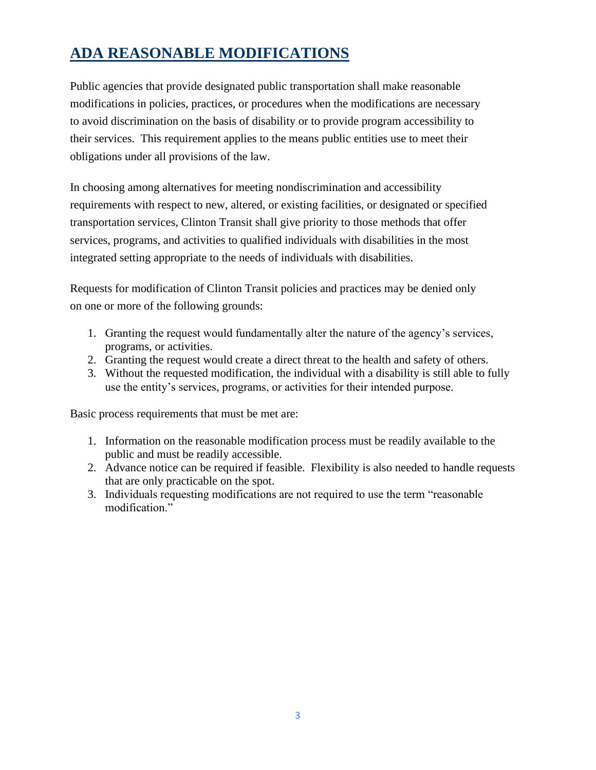## **ADA REASONABLE MODIFICATIONS**

Public agencies that provide designated public transportation shall make reasonable modifications in policies, practices, or procedures when the modifications are necessary to avoid discrimination on the basis of disability or to provide program accessibility to their services. This requirement applies to the means public entities use to meet their obligations under all provisions of the law.

In choosing among alternatives for meeting nondiscrimination and accessibility requirements with respect to new, altered, or existing facilities, or designated or specified transportation services, Clinton Transit shall give priority to those methods that offer services, programs, and activities to qualified individuals with disabilities in the most integrated setting appropriate to the needs of individuals with disabilities.

Requests for modification of Clinton Transit policies and practices may be denied only on one or more of the following grounds:

- 1. Granting the request would fundamentally alter the nature of the agency's services, programs, or activities.
- 2. Granting the request would create a direct threat to the health and safety of others.
- 3. Without the requested modification, the individual with a disability is still able to fully use the entity's services, programs, or activities for their intended purpose.

Basic process requirements that must be met are:

- 1. Information on the reasonable modification process must be readily available to the public and must be readily accessible.
- 2. Advance notice can be required if feasible. Flexibility is also needed to handle requests that are only practicable on the spot.
- 3. Individuals requesting modifications are not required to use the term "reasonable modification."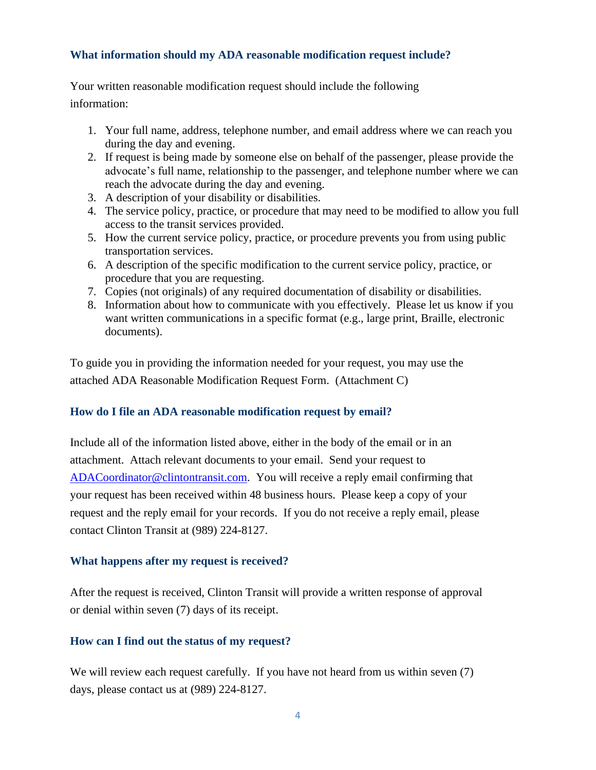#### **What information should my ADA reasonable modification request include?**

Your written reasonable modification request should include the following information:

- 1. Your full name, address, telephone number, and email address where we can reach you during the day and evening.
- 2. If request is being made by someone else on behalf of the passenger, please provide the advocate's full name, relationship to the passenger, and telephone number where we can reach the advocate during the day and evening.
- 3. A description of your disability or disabilities.
- 4. The service policy, practice, or procedure that may need to be modified to allow you full access to the transit services provided.
- 5. How the current service policy, practice, or procedure prevents you from using public transportation services.
- 6. A description of the specific modification to the current service policy, practice, or procedure that you are requesting.
- 7. Copies (not originals) of any required documentation of disability or disabilities.
- 8. Information about how to communicate with you effectively. Please let us know if you want written communications in a specific format (e.g., large print, Braille, electronic documents).

To guide you in providing the information needed for your request, you may use the attached ADA Reasonable Modification Request Form. (Attachment C)

#### **How do I file an ADA reasonable modification request by email?**

Include all of the information listed above, either in the body of the email or in an attachment. Attach relevant documents to your email. Send your request to [ADACoordinator@clintontransit.com.](mailto:ADACoordinator@clintontransit.com) You will receive a reply email confirming that your request has been received within 48 business hours. Please keep a copy of your request and the reply email for your records. If you do not receive a reply email, please contact Clinton Transit at (989) 224-8127.

#### **What happens after my request is received?**

After the request is received, Clinton Transit will provide a written response of approval or denial within seven (7) days of its receipt.

#### **How can I find out the status of my request?**

We will review each request carefully. If you have not heard from us within seven  $(7)$ days, please contact us at (989) 224-8127.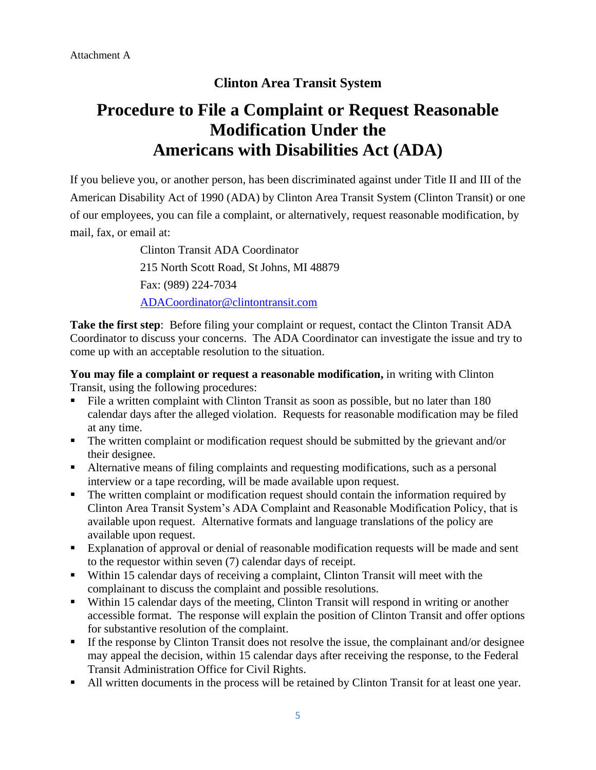# **Procedure to File a Complaint or Request Reasonable Modification Under the Americans with Disabilities Act (ADA)**

If you believe you, or another person, has been discriminated against under Title II and III of the American Disability Act of 1990 (ADA) by Clinton Area Transit System (Clinton Transit) or one of our employees, you can file a complaint, or alternatively, request reasonable modification, by mail, fax, or email at:

> Clinton Transit ADA Coordinator 215 North Scott Road, St Johns, MI 48879 Fax: (989) 224-7034 [ADACoordinator@clintontransit.com](mailto:ADACoordinator@clintontransit.com)

**Take the first step**: Before filing your complaint or request, contact the Clinton Transit ADA Coordinator to discuss your concerns. The ADA Coordinator can investigate the issue and try to come up with an acceptable resolution to the situation.

**You may file a complaint or request a reasonable modification,** in writing with Clinton Transit, using the following procedures:

- File a written complaint with Clinton Transit as soon as possible, but no later than 180 calendar days after the alleged violation. Requests for reasonable modification may be filed at any time.
- The written complaint or modification request should be submitted by the grievant and/or their designee.
- **EXECUTE:** Alternative means of filing complaints and requesting modifications, such as a personal interview or a tape recording, will be made available upon request.
- The written complaint or modification request should contain the information required by Clinton Area Transit System's ADA Complaint and Reasonable Modification Policy, that is available upon request. Alternative formats and language translations of the policy are available upon request.
- Explanation of approval or denial of reasonable modification requests will be made and sent to the requestor within seven (7) calendar days of receipt.
- Within 15 calendar days of receiving a complaint, Clinton Transit will meet with the complainant to discuss the complaint and possible resolutions.
- Within 15 calendar days of the meeting, Clinton Transit will respond in writing or another accessible format. The response will explain the position of Clinton Transit and offer options for substantive resolution of the complaint.
- **•** If the response by Clinton Transit does not resolve the issue, the complainant and/or designee may appeal the decision, within 15 calendar days after receiving the response, to the Federal Transit Administration Office for Civil Rights.
- All written documents in the process will be retained by Clinton Transit for at least one year.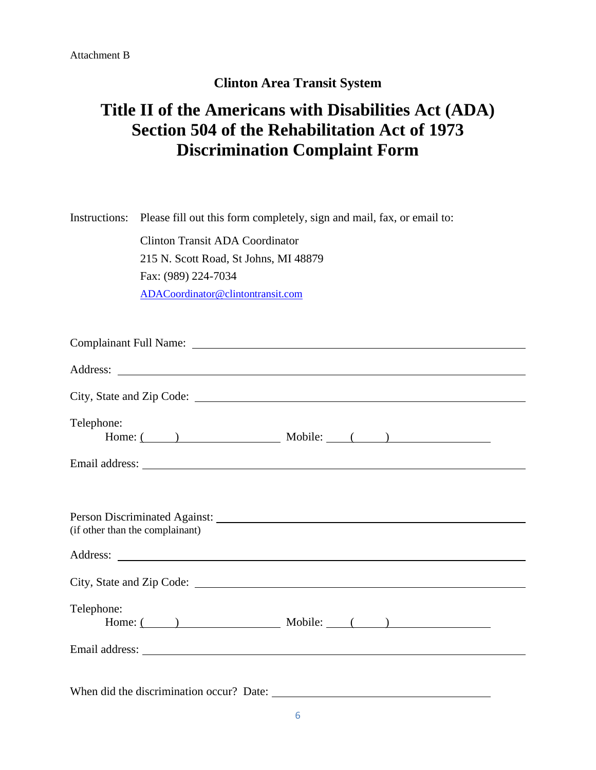# **Title II of the Americans with Disabilities Act (ADA) Section 504 of the Rehabilitation Act of 1973 Discrimination Complaint Form**

Instructions: Please fill out this form completely, sign and mail, fax, or email to:

Clinton Transit ADA Coordinator 215 N. Scott Road, St Johns, MI 48879 Fax: (989) 224-7034 [ADACoordinator@clintontransit.com](mailto:ADACoordinator@clintontransit.com)

| Telephone:<br>Home: $($ ) Mobile: $($ )                                                                                                                                                                                                                                                                                                                                                        |  |  |  |
|------------------------------------------------------------------------------------------------------------------------------------------------------------------------------------------------------------------------------------------------------------------------------------------------------------------------------------------------------------------------------------------------|--|--|--|
|                                                                                                                                                                                                                                                                                                                                                                                                |  |  |  |
| (if other than the complainant)                                                                                                                                                                                                                                                                                                                                                                |  |  |  |
|                                                                                                                                                                                                                                                                                                                                                                                                |  |  |  |
| Telephone:<br>Home: $($ ) Mobile: $($ )                                                                                                                                                                                                                                                                                                                                                        |  |  |  |
|                                                                                                                                                                                                                                                                                                                                                                                                |  |  |  |
| $\mathbf{W}^H = \mathbf{U}^T \mathbf{A} + \mathbf{U}^T \mathbf{U} + \mathbf{U}^T \mathbf{U} + \mathbf{U}^T \mathbf{U} + \mathbf{U}^T \mathbf{U} + \mathbf{U}^T \mathbf{U} + \mathbf{U}^T \mathbf{U} + \mathbf{U}^T \mathbf{U} + \mathbf{U}^T \mathbf{U} + \mathbf{U}^T \mathbf{U} + \mathbf{U}^T \mathbf{U} + \mathbf{U}^T \mathbf{U} + \mathbf{U}^T \mathbf{U} + \mathbf{U}^T \mathbf{U} + \$ |  |  |  |

When did the discrimination occur? Date: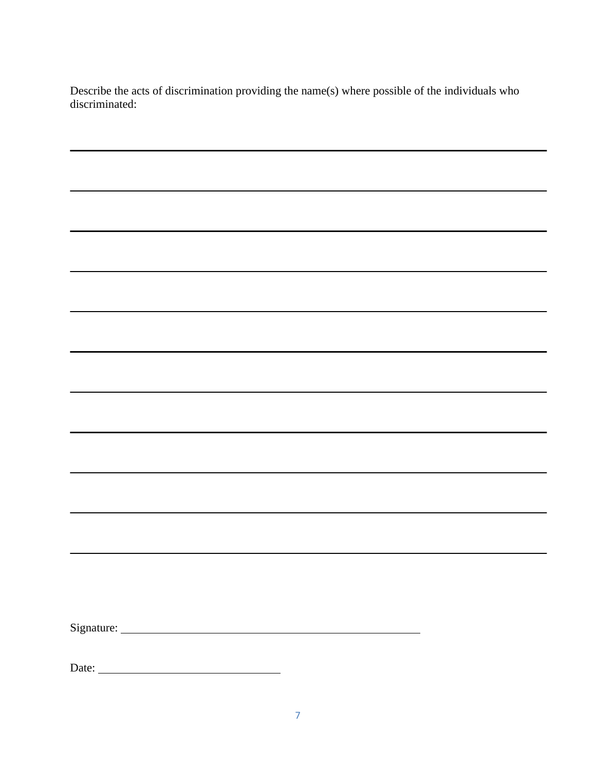Describe the acts of discrimination providing the name(s) where possible of the individuals who discriminated:

<u> 1989 - Johann Stoff, deutscher Stoffen und der Stoffen und der Stoffen und der Stoffen und der Stoffen und der</u>

L,

 $\overline{\phantom{0}}$ 

Signature:

Date: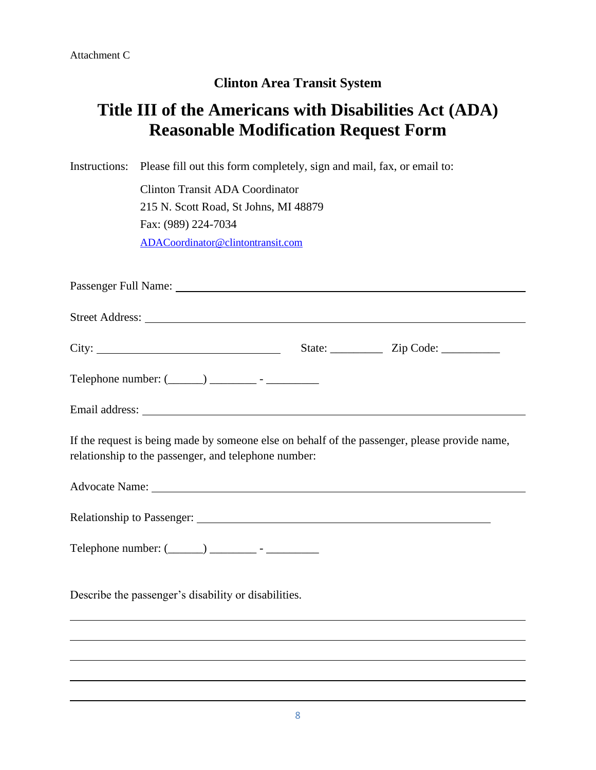# **Title III of the Americans with Disabilities Act (ADA) Reasonable Modification Request Form**

Instructions: Please fill out this form completely, sign and mail, fax, or email to:

Clinton Transit ADA Coordinator 215 N. Scott Road, St Johns, MI 48879 Fax: (989) 224-7034 [ADACoordinator@clintontransit.com](mailto:ADACoordinator@clintontransit.com)

Passenger Full Name: Street Address: City: State: 2ip Code: Telephone number:  $(\_\_\_\_)$  \_\_\_\_\_\_\_\_\_ - \_\_\_\_\_\_\_\_\_\_\_\_\_ Email address: If the request is being made by someone else on behalf of the passenger, please provide name, relationship to the passenger, and telephone number: Advocate Name: Relationship to Passenger: Telephone number: (\_\_\_\_\_\_) \_\_\_\_\_\_\_\_ - \_\_\_\_\_\_\_\_\_ Describe the passenger's disability or disabilities.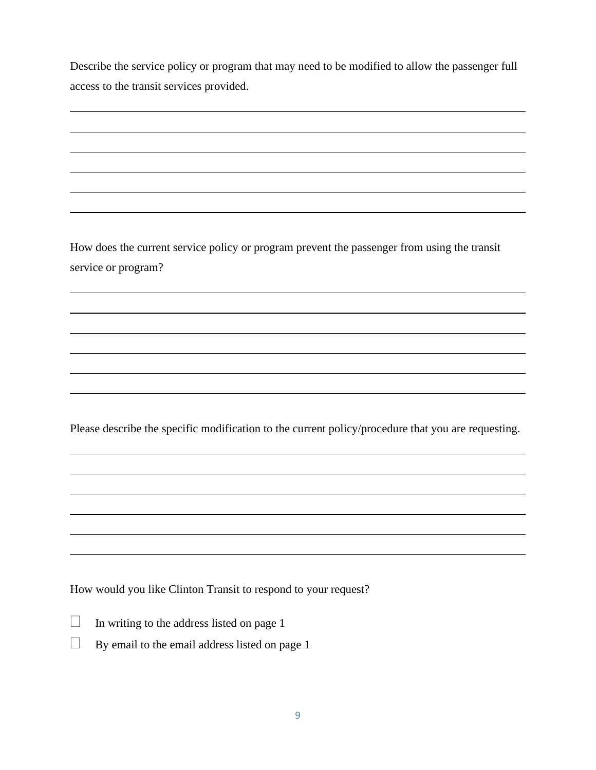Describe the service policy or program that may need to be modified to allow the passenger full access to the transit services provided.

How does the current service policy or program prevent the passenger from using the transit service or program?

Please describe the specific modification to the current policy/procedure that you are requesting.

How would you like Clinton Transit to respond to your request?

| $\Box$ | In writing to the address listed on page 1 |  |
|--------|--------------------------------------------|--|
|        |                                            |  |

 $\Box$  By email to the email address listed on page 1